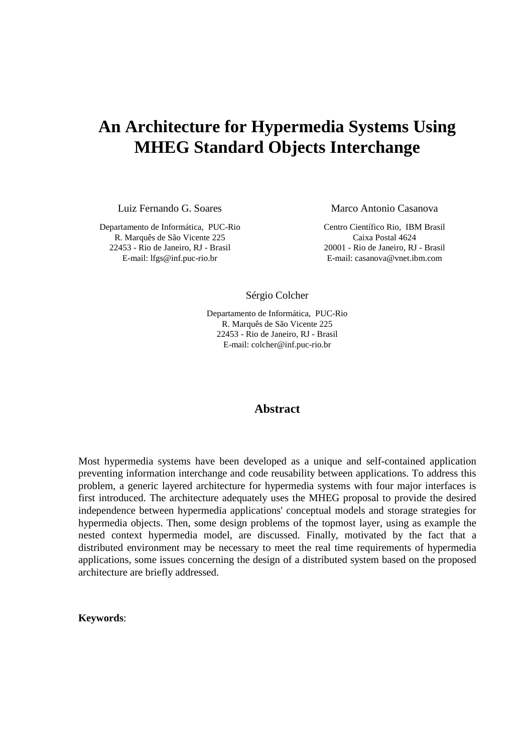# **An Architecture for Hypermedia Systems Using MHEG Standard Objects Interchange**

Luiz Fernando G. Soares

Departamento de Informática, PUC-Rio R. Marquês de São Vicente 225 22453 - Rio de Janeiro, RJ - Brasil E-mail: lfgs@inf.puc-rio.br

Marco Antonio Casanova

Centro Científico Rio, IBM Brasil Caixa Postal 4624 20001 - Rio de Janeiro, RJ - Brasil E-mail: casanova@vnet.ibm.com

Sérgio Colcher

Departamento de Informática, PUC-Rio R. Marquês de São Vicente 225 22453 - Rio de Janeiro, RJ - Brasil E-mail: colcher@inf.puc-rio.br

### **Abstract**

Most hypermedia systems have been developed as a unique and self-contained application preventing information interchange and code reusability between applications. To address this problem, a generic layered architecture for hypermedia systems with four major interfaces is first introduced. The architecture adequately uses the MHEG proposal to provide the desired independence between hypermedia applications' conceptual models and storage strategies for hypermedia objects. Then, some design problems of the topmost layer, using as example the nested context hypermedia model, are discussed. Finally, motivated by the fact that a distributed environment may be necessary to meet the real time requirements of hypermedia applications, some issues concerning the design of a distributed system based on the proposed architecture are briefly addressed.

**Keywords**: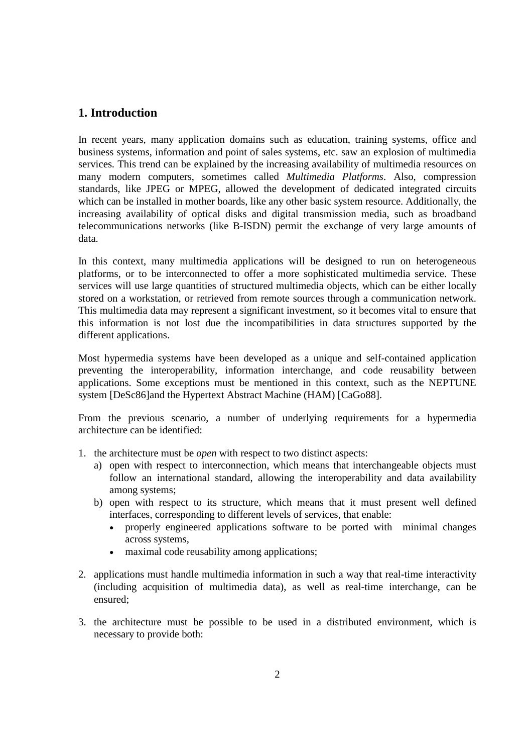# **1. Introduction**

In recent years, many application domains such as education, training systems, office and business systems, information and point of sales systems, etc. saw an explosion of multimedia services. This trend can be explained by the increasing availability of multimedia resources on many modern computers, sometimes called *Multimedia Platforms*. Also, compression standards, like JPEG or MPEG, allowed the development of dedicated integrated circuits which can be installed in mother boards, like any other basic system resource. Additionally, the increasing availability of optical disks and digital transmission media, such as broadband telecommunications networks (like B-ISDN) permit the exchange of very large amounts of data.

In this context, many multimedia applications will be designed to run on heterogeneous platforms, or to be interconnected to offer a more sophisticated multimedia service. These services will use large quantities of structured multimedia objects, which can be either locally stored on a workstation, or retrieved from remote sources through a communication network. This multimedia data may represent a significant investment, so it becomes vital to ensure that this information is not lost due the incompatibilities in data structures supported by the different applications.

Most hypermedia systems have been developed as a unique and self-contained application preventing the interoperability, information interchange, and code reusability between applications. Some exceptions must be mentioned in this context, such as the NEPTUNE system [DeSc86]and the Hypertext Abstract Machine (HAM) [CaGo88].

From the previous scenario, a number of underlying requirements for a hypermedia architecture can be identified:

- 1. the architecture must be *open* with respect to two distinct aspects:
	- a) open with respect to interconnection, which means that interchangeable objects must follow an international standard, allowing the interoperability and data availability among systems;
	- b) open with respect to its structure, which means that it must present well defined interfaces, corresponding to different levels of services, that enable:
		- properly engineered applications software to be ported with minimal changes across systems,
		- maximal code reusability among applications;
- 2. applications must handle multimedia information in such a way that real-time interactivity (including acquisition of multimedia data), as well as real-time interchange, can be ensured;
- 3. the architecture must be possible to be used in a distributed environment, which is necessary to provide both: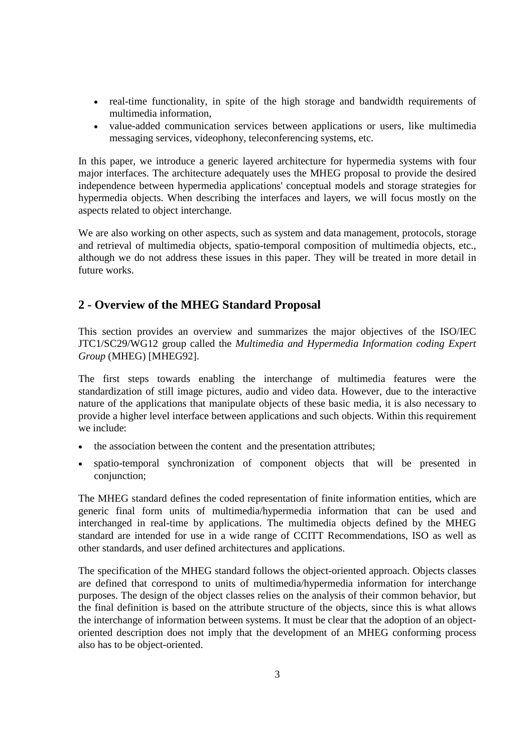- real-time functionality, in spite of the high storage and bandwidth requirements of multimedia information,
- value-added communication services between applications or users, like multimedia messaging services, videophony, teleconferencing systems, etc.

In this paper, we introduce a generic layered architecture for hypermedia systems with four major interfaces. The architecture adequately uses the MHEG proposal to provide the desired independence between hypermedia applications' conceptual models and storage strategies for hypermedia objects. When describing the interfaces and layers, we will focus mostly on the aspects related to object interchange.

We are also working on other aspects, such as system and data management, protocols, storage and retrieval of multimedia objects, spatio-temporal composition of multimedia objects, etc., although we do not address these issues in this paper. They will be treated in more detail in future works.

# **2 - Overview of the MHEG Standard Proposal**

This section provides an overview and summarizes the major objectives of the ISO/IEC JTC1/SC29/WG12 group called the *Multimedia and Hypermedia Information coding Expert Group* (MHEG) [MHEG92].

The first steps towards enabling the interchange of multimedia features were the standardization of still image pictures, audio and video data. However, due to the interactive nature of the applications that manipulate objects of these basic media, it is also necessary to provide a higher level interface between applications and such objects. Within this requirement we include:

- the association between the content and the presentation attributes;
- spatio-temporal synchronization of component objects that will be presented in conjunction;

The MHEG standard defines the coded representation of finite information entities, which are generic final form units of multimedia/hypermedia information that can be used and interchanged in real-time by applications. The multimedia objects defined by the MHEG standard are intended for use in a wide range of CCITT Recommendations, ISO as well as other standards, and user defined architectures and applications.

The specification of the MHEG standard follows the object-oriented approach. Objects classes are defined that correspond to units of multimedia/hypermedia information for interchange purposes. The design of the object classes relies on the analysis of their common behavior, but the final definition is based on the attribute structure of the objects, since this is what allows the interchange of information between systems. It must be clear that the adoption of an objectoriented description does not imply that the development of an MHEG conforming process also has to be object-oriented.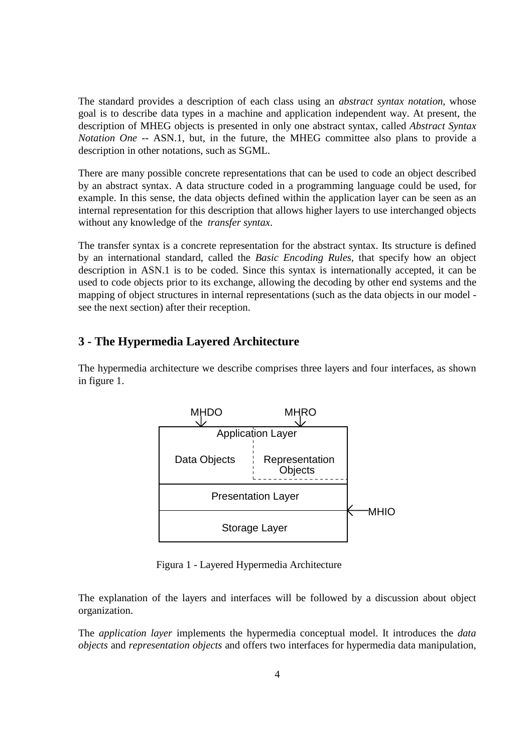The standard provides a description of each class using an *abstract syntax notation*, whose goal is to describe data types in a machine and application independent way. At present, the description of MHEG objects is presented in only one abstract syntax, called *Abstract Syntax Notation One* -- ASN.1, but, in the future, the MHEG committee also plans to provide a description in other notations, such as SGML.

There are many possible concrete representations that can be used to code an object described by an abstract syntax. A data structure coded in a programming language could be used, for example. In this sense, the data objects defined within the application layer can be seen as an internal representation for this description that allows higher layers to use interchanged objects without any knowledge of the *transfer syntax*.

The transfer syntax is a concrete representation for the abstract syntax. Its structure is defined by an international standard, called the *Basic Encoding Rules*, that specify how an object description in ASN.1 is to be coded. Since this syntax is internationally accepted, it can be used to code objects prior to its exchange, allowing the decoding by other end systems and the mapping of object structures in internal representations (such as the data objects in our model see the next section) after their reception.

# **3 - The Hypermedia Layered Architecture**

The hypermedia architecture we describe comprises three layers and four interfaces, as shown in figure 1.



Figura 1 - Layered Hypermedia Architecture

The explanation of the layers and interfaces will be followed by a discussion about object organization.

The *application layer* implements the hypermedia conceptual model. It introduces the *data objects* and *representation objects* and offers two interfaces for hypermedia data manipulation,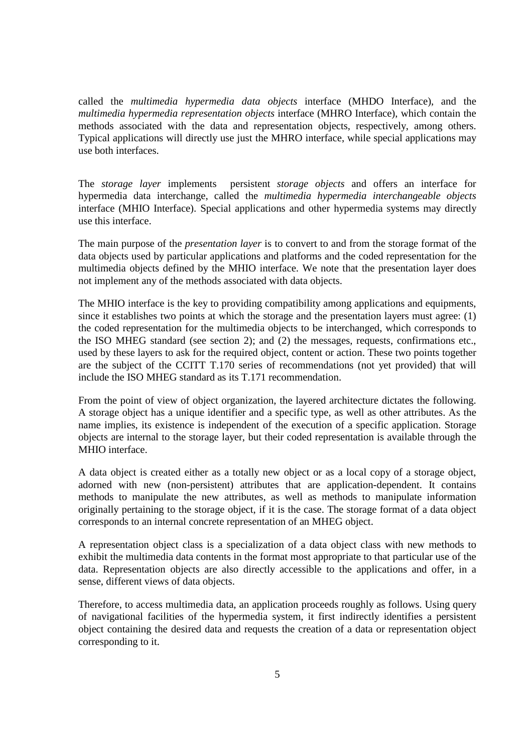called the *multimedia hypermedia data objects* interface (MHDO Interface), and the *multimedia hypermedia representation objects* interface (MHRO Interface), which contain the methods associated with the data and representation objects, respectively, among others. Typical applications will directly use just the MHRO interface, while special applications may use both interfaces.

The *storage layer* implements persistent *storage objects* and offers an interface for hypermedia data interchange, called the *multimedia hypermedia interchangeable objects* interface (MHIO Interface). Special applications and other hypermedia systems may directly use this interface.

The main purpose of the *presentation layer* is to convert to and from the storage format of the data objects used by particular applications and platforms and the coded representation for the multimedia objects defined by the MHIO interface. We note that the presentation layer does not implement any of the methods associated with data objects.

The MHIO interface is the key to providing compatibility among applications and equipments, since it establishes two points at which the storage and the presentation layers must agree: (1) the coded representation for the multimedia objects to be interchanged, which corresponds to the ISO MHEG standard (see section 2); and (2) the messages, requests, confirmations etc., used by these layers to ask for the required object, content or action. These two points together are the subject of the CCITT T.170 series of recommendations (not yet provided) that will include the ISO MHEG standard as its T.171 recommendation.

From the point of view of object organization, the layered architecture dictates the following. A storage object has a unique identifier and a specific type, as well as other attributes. As the name implies, its existence is independent of the execution of a specific application. Storage objects are internal to the storage layer, but their coded representation is available through the MHIO interface.

A data object is created either as a totally new object or as a local copy of a storage object, adorned with new (non-persistent) attributes that are application-dependent. It contains methods to manipulate the new attributes, as well as methods to manipulate information originally pertaining to the storage object, if it is the case. The storage format of a data object corresponds to an internal concrete representation of an MHEG object.

A representation object class is a specialization of a data object class with new methods to exhibit the multimedia data contents in the format most appropriate to that particular use of the data. Representation objects are also directly accessible to the applications and offer, in a sense, different views of data objects.

Therefore, to access multimedia data, an application proceeds roughly as follows. Using query of navigational facilities of the hypermedia system, it first indirectly identifies a persistent object containing the desired data and requests the creation of a data or representation object corresponding to it.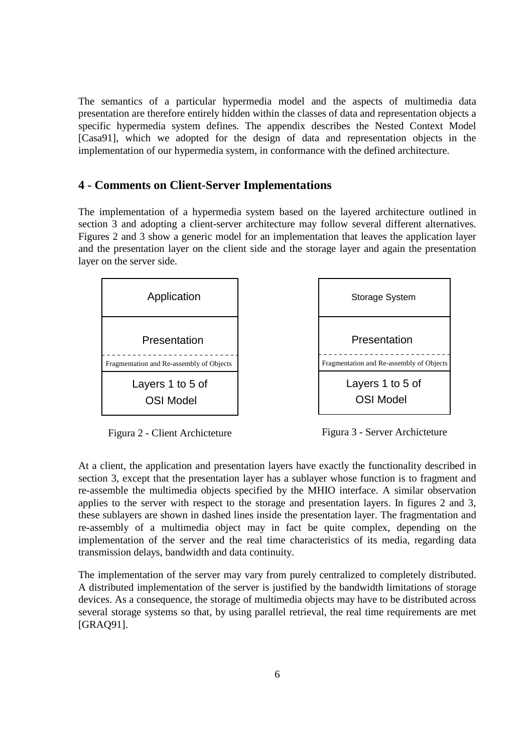The semantics of a particular hypermedia model and the aspects of multimedia data presentation are therefore entirely hidden within the classes of data and representation objects a specific hypermedia system defines. The appendix describes the Nested Context Model [Casa91], which we adopted for the design of data and representation objects in the implementation of our hypermedia system, in conformance with the defined architecture.

#### **4 - Comments on Client-Server Implementations**

The implementation of a hypermedia system based on the layered architecture outlined in section 3 and adopting a client-server architecture may follow several different alternatives. Figures 2 and 3 show a generic model for an implementation that leaves the application layer and the presentation layer on the client side and the storage layer and again the presentation layer on the server side.





Figura 2 - Client Archicteture

Figura 3 - Server Archicteture

At a client, the application and presentation layers have exactly the functionality described in section 3, except that the presentation layer has a sublayer whose function is to fragment and re-assemble the multimedia objects specified by the MHIO interface. A similar observation applies to the server with respect to the storage and presentation layers. In figures 2 and 3, these sublayers are shown in dashed lines inside the presentation layer. The fragmentation and re-assembly of a multimedia object may in fact be quite complex, depending on the implementation of the server and the real time characteristics of its media, regarding data transmission delays, bandwidth and data continuity.

The implementation of the server may vary from purely centralized to completely distributed. A distributed implementation of the server is justified by the bandwidth limitations of storage devices. As a consequence, the storage of multimedia objects may have to be distributed across several storage systems so that, by using parallel retrieval, the real time requirements are met [GRAQ91].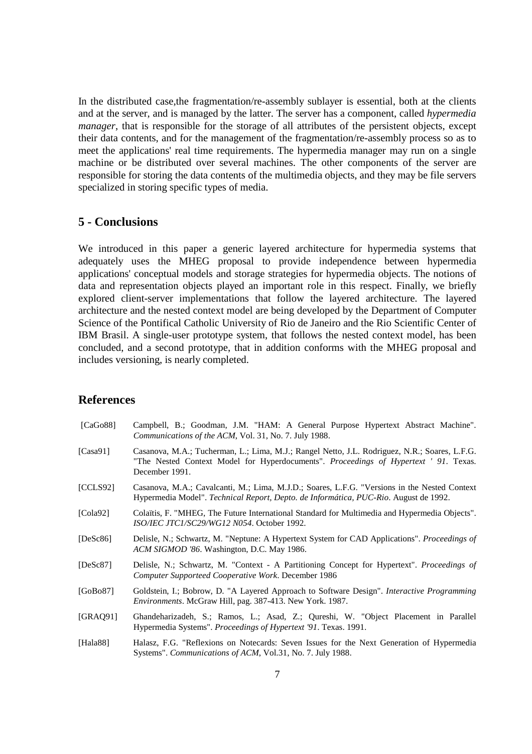In the distributed case,the fragmentation/re-assembly sublayer is essential, both at the clients and at the server, and is managed by the latter. The server has a component, called *hypermedia manager*, that is responsible for the storage of all attributes of the persistent objects, except their data contents, and for the management of the fragmentation/re-assembly process so as to meet the applications' real time requirements. The hypermedia manager may run on a single machine or be distributed over several machines. The other components of the server are responsible for storing the data contents of the multimedia objects, and they may be file servers specialized in storing specific types of media.

## **5 - Conclusions**

We introduced in this paper a generic layered architecture for hypermedia systems that adequately uses the MHEG proposal to provide independence between hypermedia applications' conceptual models and storage strategies for hypermedia objects. The notions of data and representation objects played an important role in this respect. Finally, we briefly explored client-server implementations that follow the layered architecture. The layered architecture and the nested context model are being developed by the Department of Computer Science of the Pontifical Catholic University of Rio de Janeiro and the Rio Scientific Center of IBM Brasil. A single-user prototype system, that follows the nested context model, has been concluded, and a second prototype, that in addition conforms with the MHEG proposal and includes versioning, is nearly completed.

#### **References**

| [ $CaGo88$ ] | Campbell, B.; Goodman, J.M. "HAM: A General Purpose Hypertext Abstract Machine".<br><i>Communications of the ACM, Vol. 31, No. 7. July 1988.</i>                                                        |  |  |
|--------------|---------------------------------------------------------------------------------------------------------------------------------------------------------------------------------------------------------|--|--|
| [ $Casa91$ ] | Casanova, M.A.; Tucherman, L.; Lima, M.J.; Rangel Netto, J.L. Rodriguez, N.R.; Soares, L.F.G.<br>"The Nested Context Model for Hyperdocuments". Proceedings of Hypertext ' 91. Texas.<br>December 1991. |  |  |
| [CCLS92]     | Casanova, M.A.; Cavalcanti, M.; Lima, M.J.D.; Soares, L.F.G. "Versions in the Nested Context<br>Hypermedia Model". Technical Report, Depto. de Informática, PUC-Rio. August de 1992.                    |  |  |
| [Cola92]     | Colaïtis, F. "MHEG, The Future International Standard for Multimedia and Hypermedia Objects".<br>ISO/IEC JTC1/SC29/WG12 N054. October 1992.                                                             |  |  |
| [DeSc86]     | Delisle, N.; Schwartz, M. "Neptune: A Hypertext System for CAD Applications". Proceedings of<br>ACM SIGMOD '86. Washington, D.C. May 1986.                                                              |  |  |
| [DeSc87]     | Delisle, N.; Schwartz, M. "Context - A Partitioning Concept for Hypertext". Proceedings of<br><b>Computer Supporteed Cooperative Work. December 1986</b>                                                |  |  |
| [GoBo87]     | Goldstein, I.; Bobrow, D. "A Layered Approach to Software Design". Interactive Programming<br>Environments. McGraw Hill, pag. 387-413. New York. 1987.                                                  |  |  |
| [GRAQ91]     | Ghandeharizadeh, S.; Ramos, L.; Asad, Z.; Qureshi, W. "Object Placement in Parallel<br>Hypermedia Systems". Proceedings of Hypertext '91. Texas. 1991.                                                  |  |  |
| [Hala $88$ ] | Halasz, F.G. "Reflexions on Notecards: Seven Issues for the Next Generation of Hypermedia<br>Systems". Communications of ACM, Vol.31, No. 7. July 1988.                                                 |  |  |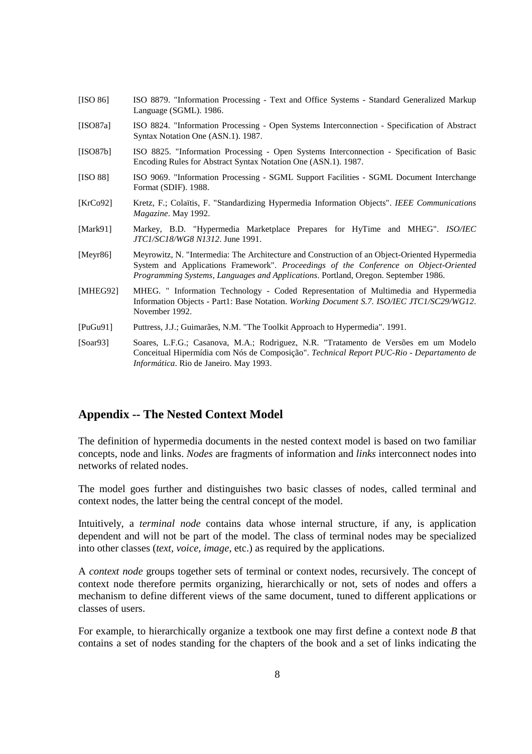| <b>IISO 861</b>                                                                                   | ISO 8879. "Information Processing - Text and Office Systems - Standard Generalized Markup |  |
|---------------------------------------------------------------------------------------------------|-------------------------------------------------------------------------------------------|--|
|                                                                                                   | Language (SGML). 1986.                                                                    |  |
| $\Gamma$ <sub><math>\Gamma</math></sub> $\Omega$ $\Omega$ <sub><math>\Omega</math></sub> $\Gamma$ | ICO 0004 "Information Dreasesing Open Systems Intersecution Specification of Abstract     |  |

- [ISO87a] ISO 8824. "Information Processing Open Systems Interconnection Specification of Abstract Syntax Notation One (ASN.1). 1987.
- [ISO87b] ISO 8825. "Information Processing Open Systems Interconnection Specification of Basic Encoding Rules for Abstract Syntax Notation One (ASN.1). 1987.
- [ISO 88] ISO 9069. "Information Processing SGML Support Facilities SGML Document Interchange Format (SDIF). 1988.
- [KrCo92] Kretz, F.; Colaïtis, F. "Standardizing Hypermedia Information Objects". *IEEE Communications Magazine*. May 1992.
- [Mark91] Markey, B.D. "Hypermedia Marketplace Prepares for HyTime and MHEG". *ISO/IEC JTC1/SC18/WG8 N1312*. June 1991.
- [Meyr86] Meyrowitz, N. "Intermedia: The Architecture and Construction of an Object-Oriented Hypermedia System and Applications Framework". *Proceedings of the Conference on Object-Oriented Programming Systems, Languages and Applications*. Portland, Oregon. September 1986.
- [MHEG92] MHEG. " Information Technology Coded Representation of Multimedia and Hypermedia Information Objects - Part1: Base Notation. *Working Document S.7. ISO/IEC JTC1/SC29/WG12*. November 1992.
- [PuGu91] Puttress, J.J.; Guimarães, N.M. "The Toolkit Approach to Hypermedia". 1991.
- [Soar93] Soares, L.F.G.; Casanova, M.A.; Rodriguez, N.R. "Tratamento de Versões em um Modelo Conceitual Hipermídia com Nós de Composição". *Technical Report PUC-Rio - Departamento de Informática*. Rio de Janeiro. May 1993.

#### **Appendix -- The Nested Context Model**

The definition of hypermedia documents in the nested context model is based on two familiar concepts, node and links. *Nodes* are fragments of information and *links* interconnect nodes into networks of related nodes.

The model goes further and distinguishes two basic classes of nodes, called terminal and context nodes, the latter being the central concept of the model.

Intuitively, a *terminal node* contains data whose internal structure, if any, is application dependent and will not be part of the model. The class of terminal nodes may be specialized into other classes (*text, voice, image*, etc.) as required by the applications.

A *context node* groups together sets of terminal or context nodes, recursively. The concept of context node therefore permits organizing, hierarchically or not, sets of nodes and offers a mechanism to define different views of the same document, tuned to different applications or classes of users.

For example, to hierarchically organize a textbook one may first define a context node *B* that contains a set of nodes standing for the chapters of the book and a set of links indicating the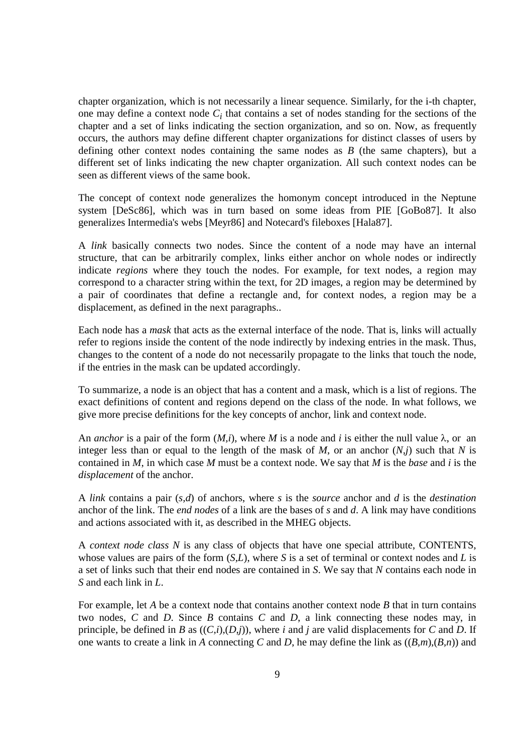chapter organization, which is not necessarily a linear sequence. Similarly, for the i-th chapter, one may define a context node  $C_i$  that contains a set of nodes standing for the sections of the chapter and a set of links indicating the section organization, and so on. Now, as frequently occurs, the authors may define different chapter organizations for distinct classes of users by defining other context nodes containing the same nodes as *B* (the same chapters), but a different set of links indicating the new chapter organization. All such context nodes can be seen as different views of the same book.

The concept of context node generalizes the homonym concept introduced in the Neptune system [DeSc86], which was in turn based on some ideas from PIE [GoBo87]. It also generalizes Intermedia's webs [Meyr86] and Notecard's fileboxes [Hala87].

A *link* basically connects two nodes. Since the content of a node may have an internal structure, that can be arbitrarily complex, links either anchor on whole nodes or indirectly indicate *regions* where they touch the nodes. For example, for text nodes, a region may correspond to a character string within the text, for 2D images, a region may be determined by a pair of coordinates that define a rectangle and, for context nodes, a region may be a displacement, as defined in the next paragraphs..

Each node has a *mask* that acts as the external interface of the node. That is, links will actually refer to regions inside the content of the node indirectly by indexing entries in the mask. Thus, changes to the content of a node do not necessarily propagate to the links that touch the node, if the entries in the mask can be updated accordingly.

To summarize, a node is an object that has a content and a mask, which is a list of regions. The exact definitions of content and regions depend on the class of the node. In what follows, we give more precise definitions for the key concepts of anchor, link and context node.

An *anchor* is a pair of the form  $(M,i)$ , where *M* is a node and *i* is either the null value  $\lambda$ , or an integer less than or equal to the length of the mask of  $M$ , or an anchor  $(N, j)$  such that  $N$  is contained in *M*, in which case *M* must be a context node. We say that *M* is the *base* and *i* is the *displacement* of the anchor.

A *link* contains a pair (*s,d*) of anchors, where *s* is the *source* anchor and *d* is the *destination* anchor of the link. The *end nodes* of a link are the bases of *s* and *d*. A link may have conditions and actions associated with it, as described in the MHEG objects.

A *context node class N* is any class of objects that have one special attribute, CONTENTS, whose values are pairs of the form (*S,L*), where *S* is a set of terminal or context nodes and *L* is a set of links such that their end nodes are contained in *S*. We say that *N* contains each node in *S* and each link in *L*.

For example, let *A* be a context node that contains another context node *B* that in turn contains two nodes, *C* and *D*. Since *B* contains *C* and *D*, a link connecting these nodes may, in principle, be defined in *B* as  $((C,i),(D,i))$ , where *i* and *j* are valid displacements for *C* and *D*. If one wants to create a link in *A* connecting *C* and *D*, he may define the link as ((*B,m*),(*B,n*)) and